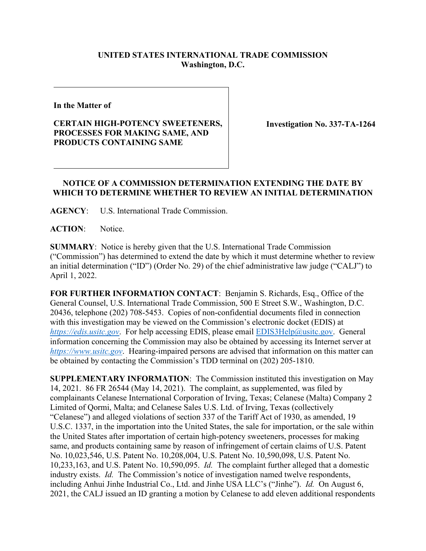## **UNITED STATES INTERNATIONAL TRADE COMMISSION Washington, D.C.**

**In the Matter of**

## **CERTAIN HIGH-POTENCY SWEETENERS, PROCESSES FOR MAKING SAME, AND PRODUCTS CONTAINING SAME**

**Investigation No. 337-TA-1264**

## **NOTICE OF A COMMISSION DETERMINATION EXTENDING THE DATE BY WHICH TO DETERMINE WHETHER TO REVIEW AN INITIAL DETERMINATION**

**AGENCY**: U.S. International Trade Commission.

ACTION: Notice.

**SUMMARY**: Notice is hereby given that the U.S. International Trade Commission ("Commission") has determined to extend the date by which it must determine whether to review an initial determination ("ID") (Order No. 29) of the chief administrative law judge ("CALJ") to April 1, 2022.

**FOR FURTHER INFORMATION CONTACT**: Benjamin S. Richards, Esq., Office of the General Counsel, U.S. International Trade Commission, 500 E Street S.W., Washington, D.C. 20436, telephone (202) 708-5453. Copies of non-confidential documents filed in connection with this investigation may be viewed on the Commission's electronic docket (EDIS) at *[https://edis.usitc.gov](https://edis.usitc.gov/).* For help accessing EDIS, please email [EDIS3Help@usitc.gov.](mailto:EDIS3Help@usitc.gov) General information concerning the Commission may also be obtained by accessing its Internet server at *[https://www.usitc.gov](https://www.usitc.gov/)*. Hearing-impaired persons are advised that information on this matter can be obtained by contacting the Commission's TDD terminal on (202) 205-1810.

**SUPPLEMENTARY INFORMATION**: The Commission instituted this investigation on May 14, 2021. 86 FR 26544 (May 14, 2021). The complaint, as supplemented, was filed by complainants Celanese International Corporation of Irving, Texas; Celanese (Malta) Company 2 Limited of Qormi, Malta; and Celanese Sales U.S. Ltd. of Irving, Texas (collectively "Celanese") and alleged violations of section 337 of the Tariff Act of 1930, as amended, 19 U.S.C. 1337, in the importation into the United States, the sale for importation, or the sale within the United States after importation of certain high-potency sweeteners, processes for making same, and products containing same by reason of infringement of certain claims of U.S. Patent No. 10,023,546, U.S. Patent No. 10,208,004, U.S. Patent No. 10,590,098, U.S. Patent No. 10,233,163, and U.S. Patent No. 10,590,095. *Id.* The complaint further alleged that a domestic industry exists. *Id.* The Commission's notice of investigation named twelve respondents, including Anhui Jinhe Industrial Co., Ltd. and Jinhe USA LLC's ("Jinhe"). *Id.* On August 6, 2021, the CALJ issued an ID granting a motion by Celanese to add eleven additional respondents